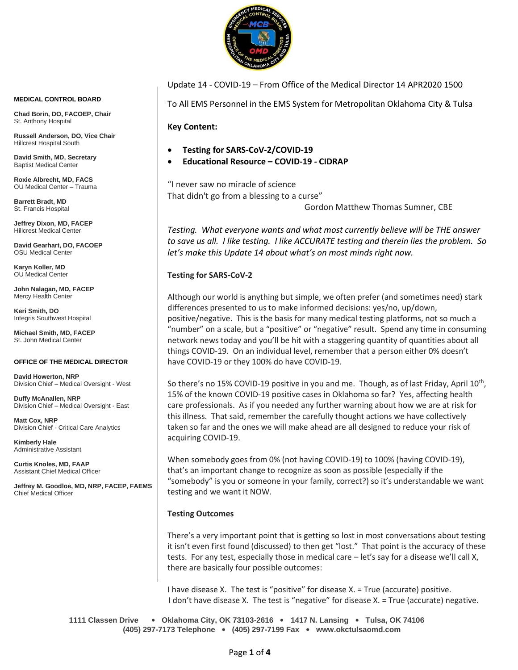

**MEDICAL CONTROL BOARD**

**Chad Borin, DO, FACOEP, Chair**  St. Anthony Hospital

**Russell Anderson, DO, Vice Chair** Hillcrest Hospital South

**David Smith, MD, Secretary** Baptist Medical Center

**Roxie Albrecht, MD, FACS** OU Medical Center – Trauma

**Barrett Bradt, MD** St. Francis Hospital

**Jeffrey Dixon, MD, FACEP** Hillcrest Medical Center

**David Gearhart, DO, FACOEP** OSU Medical Center

**Karyn Koller, MD** OU Medical Center

**John Nalagan, MD, FACEP** Mercy Health Center

**Keri Smith, DO** Integris Southwest Hospital

**Michael Smith, MD, FACEP** St. John Medical Center

#### **OFFICE OF THE MEDICAL DIRECTOR**

**David Howerton, NRP** Division Chief – Medical Oversight - West

**Duffy McAnallen, NRP** Division Chief – Medical Oversight - East

**Matt Cox, NRP** Division Chief - Critical Care Analytics

**Kimberly Hale** Administrative Assistant

**Curtis Knoles, MD, FAAP** Assistant Chief Medical Officer

**Jeffrey M. Goodloe, MD, NRP, FACEP, FAEMS** Chief Medical Officer

#### Update 14 - COVID-19 – From Office of the Medical Director 14 APR2020 1500

To All EMS Personnel in the EMS System for Metropolitan Oklahoma City & Tulsa

**Key Content:**

- **Testing for SARS-CoV-2/COVID-19**
- **Educational Resource – COVID-19 - CIDRAP**

"I never saw no miracle of science That didn't go from a blessing to a curse"

Gordon Matthew Thomas Sumner, CBE

*Testing. What everyone wants and what most currently believe will be THE answer to save us all. I like testing. I like ACCURATE testing and therein lies the problem. So let's make this Update 14 about what's on most minds right now.*

**Testing for SARS-CoV-2**

Although our world is anything but simple, we often prefer (and sometimes need) stark differences presented to us to make informed decisions: yes/no, up/down, positive/negative. This is the basis for many medical testing platforms, not so much a "number" on a scale, but a "positive" or "negative" result. Spend any time in consuming network news today and you'll be hit with a staggering quantity of quantities about all things COVID-19. On an individual level, remember that a person either 0% doesn't have COVID-19 or they 100% do have COVID-19.

So there's no 15% COVID-19 positive in you and me. Though, as of last Friday, April 10<sup>th</sup>, 15% of the known COVID-19 positive cases in Oklahoma so far? Yes, affecting health care professionals. As if you needed any further warning about how we are at risk for this illness. That said, remember the carefully thought actions we have collectively taken so far and the ones we will make ahead are all designed to reduce your risk of acquiring COVID-19.

When somebody goes from 0% (not having COVID-19) to 100% (having COVID-19), that's an important change to recognize as soon as possible (especially if the "somebody" is you or someone in your family, correct?) so it's understandable we want testing and we want it NOW.

#### **Testing Outcomes**

There's a very important point that is getting so lost in most conversations about testing it isn't even first found (discussed) to then get "lost." That point is the accuracy of these tests. For any test, especially those in medical care – let's say for a disease we'll call X, there are basically four possible outcomes:

I have disease X. The test is "positive" for disease X. = True (accurate) positive. I don't have disease X. The test is "negative" for disease X. = True (accurate) negative.

**1111 Classen Drive** • **Oklahoma City, OK 73103-2616** • **1417 N. Lansing** • **Tulsa, OK 74106 (405) 297-7173 Telephone** • **(405) 297-7199 Fax** • **www.okctulsaomd.com**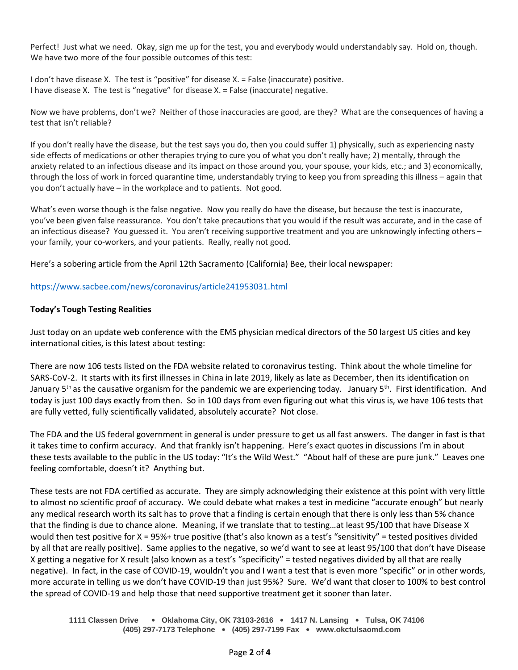Perfect! Just what we need. Okay, sign me up for the test, you and everybody would understandably say. Hold on, though. We have two more of the four possible outcomes of this test:

I don't have disease X. The test is "positive" for disease X. = False (inaccurate) positive. I have disease X. The test is "negative" for disease X. = False (inaccurate) negative.

Now we have problems, don't we? Neither of those inaccuracies are good, are they? What are the consequences of having a test that isn't reliable?

If you don't really have the disease, but the test says you do, then you could suffer 1) physically, such as experiencing nasty side effects of medications or other therapies trying to cure you of what you don't really have; 2) mentally, through the anxiety related to an infectious disease and its impact on those around you, your spouse, your kids, etc.; and 3) economically, through the loss of work in forced quarantine time, understandably trying to keep you from spreading this illness – again that you don't actually have – in the workplace and to patients. Not good.

What's even worse though is the false negative. Now you really do have the disease, but because the test is inaccurate, you've been given false reassurance. You don't take precautions that you would if the result was accurate, and in the case of an infectious disease? You guessed it. You aren't receiving supportive treatment and you are unknowingly infecting others your family, your co-workers, and your patients. Really, really not good.

Here's a sobering article from the April 12th Sacramento (California) Bee, their local newspaper:

## <https://www.sacbee.com/news/coronavirus/article241953031.html>

## **Today's Tough Testing Realities**

Just today on an update web conference with the EMS physician medical directors of the 50 largest US cities and key international cities, is this latest about testing:

There are now 106 tests listed on the FDA website related to coronavirus testing. Think about the whole timeline for SARS-CoV-2. It starts with its first illnesses in China in late 2019, likely as late as December, then its identification on January  $5<sup>th</sup>$  as the causative organism for the pandemic we are experiencing today. January  $5<sup>th</sup>$ . First identification. And today is just 100 days exactly from then. So in 100 days from even figuring out what this virus is, we have 106 tests that are fully vetted, fully scientifically validated, absolutely accurate? Not close.

The FDA and the US federal government in general is under pressure to get us all fast answers. The danger in fast is that it takes time to confirm accuracy. And that frankly isn't happening. Here's exact quotes in discussions I'm in about these tests available to the public in the US today: "It's the Wild West." "About half of these are pure junk." Leaves one feeling comfortable, doesn't it? Anything but.

These tests are not FDA certified as accurate. They are simply acknowledging their existence at this point with very little to almost no scientific proof of accuracy. We could debate what makes a test in medicine "accurate enough" but nearly any medical research worth its salt has to prove that a finding is certain enough that there is only less than 5% chance that the finding is due to chance alone. Meaning, if we translate that to testing…at least 95/100 that have Disease X would then test positive for X = 95%+ true positive (that's also known as a test's "sensitivity" = tested positives divided by all that are really positive). Same applies to the negative, so we'd want to see at least 95/100 that don't have Disease X getting a negative for X result (also known as a test's "specificity" = tested negatives divided by all that are really negative). In fact, in the case of COVID-19, wouldn't you and I want a test that is even more "specific" or in other words, more accurate in telling us we don't have COVID-19 than just 95%? Sure. We'd want that closer to 100% to best control the spread of COVID-19 and help those that need supportive treatment get it sooner than later.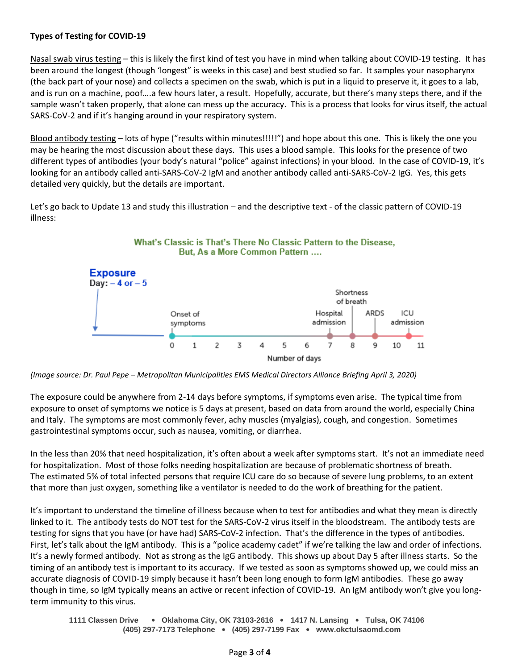# **Types of Testing for COVID-19**

Nasal swab virus testing – this is likely the first kind of test you have in mind when talking about COVID-19 testing. It has been around the longest (though 'longest" is weeks in this case) and best studied so far. It samples your nasopharynx (the back part of your nose) and collects a specimen on the swab, which is put in a liquid to preserve it, it goes to a lab, and is run on a machine, poof….a few hours later, a result. Hopefully, accurate, but there's many steps there, and if the sample wasn't taken properly, that alone can mess up the accuracy. This is a process that looks for virus itself, the actual SARS-CoV-2 and if it's hanging around in your respiratory system.

Blood antibody testing – lots of hype ("results within minutes!!!!!") and hope about this one. This is likely the one you may be hearing the most discussion about these days. This uses a blood sample. This looks for the presence of two different types of antibodies (your body's natural "police" against infections) in your blood. In the case of COVID-19, it's looking for an antibody called anti-SARS-CoV-2 IgM and another antibody called anti-SARS-CoV-2 IgG. Yes, this gets detailed very quickly, but the details are important.

Let's go back to Update 13 and study this illustration – and the descriptive text - of the classic pattern of COVID-19 illness:



*(Image source: Dr. Paul Pepe – Metropolitan Municipalities EMS Medical Directors Alliance Briefing April 3, 2020)*

The exposure could be anywhere from 2-14 days before symptoms, if symptoms even arise. The typical time from exposure to onset of symptoms we notice is 5 days at present, based on data from around the world, especially China and Italy. The symptoms are most commonly fever, achy muscles (myalgias), cough, and congestion. Sometimes gastrointestinal symptoms occur, such as nausea, vomiting, or diarrhea.

In the less than 20% that need hospitalization, it's often about a week after symptoms start. It's not an immediate need for hospitalization. Most of those folks needing hospitalization are because of problematic shortness of breath. The estimated 5% of total infected persons that require ICU care do so because of severe lung problems, to an extent that more than just oxygen, something like a ventilator is needed to do the work of breathing for the patient.

It's important to understand the timeline of illness because when to test for antibodies and what they mean is directly linked to it. The antibody tests do NOT test for the SARS-CoV-2 virus itself in the bloodstream. The antibody tests are testing for signs that you have (or have had) SARS-CoV-2 infection. That's the difference in the types of antibodies. First, let's talk about the IgM antibody. This is a "police academy cadet" if we're talking the law and order of infections. It's a newly formed antibody. Not as strong as the IgG antibody. This shows up about Day 5 after illness starts. So the timing of an antibody test is important to its accuracy. If we tested as soon as symptoms showed up, we could miss an accurate diagnosis of COVID-19 simply because it hasn't been long enough to form IgM antibodies. These go away though in time, so IgM typically means an active or recent infection of COVID-19. An IgM antibody won't give you longterm immunity to this virus.